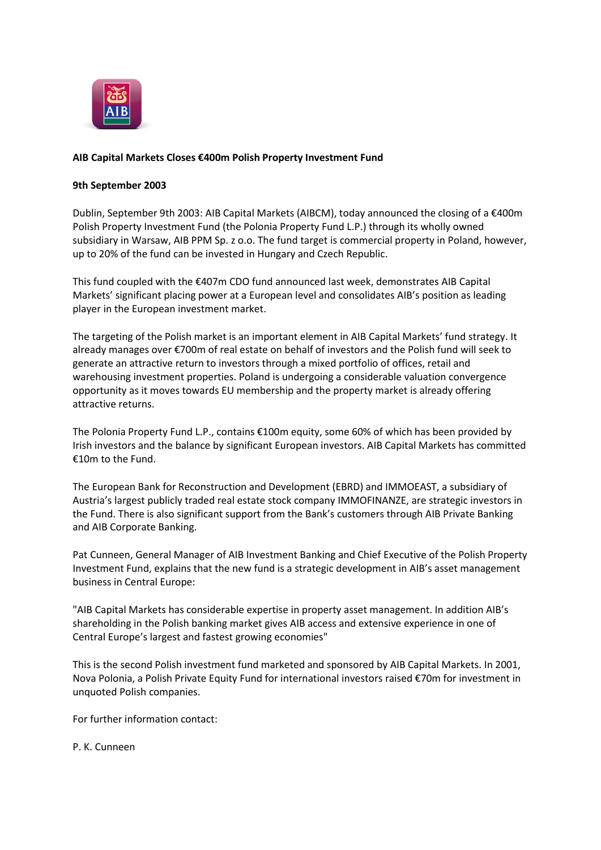

## **AIB Capital Markets Closes €400m Polish Property Investment Fund**

## **9th September 2003**

Dublin, September 9th 2003: AIB Capital Markets (AIBCM), today announced the closing of a €400m Polish Property Investment Fund (the Polonia Property Fund L.P.) through its wholly owned subsidiary in Warsaw, AIB PPM Sp. z o.o. The fund target is commercial property in Poland, however, up to 20% of the fund can be invested in Hungary and Czech Republic.

This fund coupled with the €407m CDO fund announced last week, demonstrates AIB Capital Markets' significant placing power at a European level and consolidates AIB's position as leading player in the European investment market.

The targeting of the Polish market is an important element in AIB Capital Markets' fund strategy. It already manages over €700m of real estate on behalf of investors and the Polish fund will seek to generate an attractive return to investors through a mixed portfolio of offices, retail and warehousing investment properties. Poland is undergoing a considerable valuation convergence opportunity as it moves towards EU membership and the property market is already offering attractive returns.

The Polonia Property Fund L.P., contains €100m equity, some 60% of which has been provided by Irish investors and the balance by significant European investors. AIB Capital Markets has committed €10m to the Fund.

The European Bank for Reconstruction and Development (EBRD) and IMMOEAST, a subsidiary of Austria's largest publicly traded real estate stock company IMMOFINANZE, are strategic investors in the Fund. There is also significant support from the Bank's customers through AIB Private Banking and AIB Corporate Banking.

Pat Cunneen, General Manager of AIB Investment Banking and Chief Executive of the Polish Property Investment Fund, explains that the new fund is a strategic development in AIB's asset management business in Central Europe:

"AIB Capital Markets has considerable expertise in property asset management. In addition AIB's shareholding in the Polish banking market gives AIB access and extensive experience in one of Central Europe's largest and fastest growing economies"

This is the second Polish investment fund marketed and sponsored by AIB Capital Markets. In 2001, Nova Polonia, a Polish Private Equity Fund for international investors raised €70m for investment in unquoted Polish companies.

For further information contact:

P. K. Cunneen